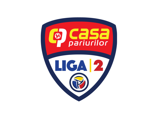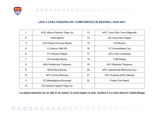

### **LIGA 2 CASA PARIURILOR: COMPONENȚA ÎN SEZONUL 2020-2021**

|                 | ACS Viitorul Pandurii Târgu Jiu | 13 | AFC Turris-Oltul Turnu Măgurele |
|-----------------|---------------------------------|----|---------------------------------|
| 2               | <b>CSM Slatina</b>              | 14 | CS Concordia Chiajna            |
| 3               | <b>ACS Fotbal Comuna Recea</b>  | 15 | <b>CS Mioveni</b>               |
| 4               | U Craiova 1948 SA               | 16 | FC Universitatea Cluj           |
| 6               | <b>FC Petrolul Ploiesti</b>     | 17 | <b>AFC Farul Constanta</b>      |
| 7               | CS Aerostar Bacău               | 18 | CSM Resita                      |
| 8               | ASU Politehnica Timișoara       | 19 | <b>AFC Ripensia Timisoara</b>   |
| 9               | <b>SCM Gloria Buzău</b>         | 20 | AFK Csikszereda Miercurea Ciuc  |
| 10 <sup>°</sup> | <b>AFC Unirea Slobozia</b>      | 21 | AFC Dunărea 2005 Călărași       |
| 11              | FC Metaloglobus București       | 22 | <b>Fotbal Club Rapid</b>        |
| 12              | CS Pandurii Lignitul Târgu Jiu  |    |                                 |

**\* La startul sezonului se vor afla 21 de cluburi. În urma tragerii la sorți, numărul 5 nu a fost alocat în Tabela Berger.**

#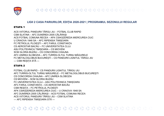

### **LIGII 2 CASA PARIURILOR, EDIȚIA 2020-2021 | PROGRAMUL SEZONULUI REGULAR**

### ETAPA 1

ACS VIITORUL PANDURII TÂRGU JIU – FOTBAL CLUB RAPID CSM SLATINA – AFC DUNĂREA 2005 CĂLĂRAȘI ACS FOTBAL COMUNA RECEA – AFK CSIKSZEREDA MIERCUREA CIUC U CRAIOVA 1948 SA – AFC RIPENSIA TIMIȘOARA FC PETROLUL PLOIEȘTI – AFC FARUL CONSTANȚA CS AEROSTAR BACĂU – FC UNIVERSITATEA CLUJ ASU POLITEHNICA TIMIȘOARA – CS MIOVENI SCM GLORIA BUZĂU – CS CONCORDIA CHIAJNA AFC UNIREA SLOBOZIA – AFC TURRIS-OLTUL TURNU MĂGURELE FC METALOGLOBUS BUCUREȘTI – CS PANDURII LIGNITUL TÂRGU JIU --- CSM REȘIȚA STĂ ---

### ETAPA 2

FOTBAL CLUB RAPID – CS PANDURII LIGNITUL TÂRGU JIU AFC TURRIS-OLTUL TURNU MĂGURELE – FC METALOGLOBUS BUCUREȘTI CS CONCORDIA CHIAJNA – AFC UNIREA SLOBOZIA CS MIOVENI – SCM GLORIA BUZĂU FC UNIVERSITATEA CLUJ – ASU POLITEHNICA TIMIȘOARA AFC FARUL CONSTANȚA – CS AEROSTAR BACĂU CSM REȘIȚA – FC PETROLUL PLOIEȘTI AFK CSIKSZEREDA MIERCUREA CIUC – U CRAIOVA 1948 SA AFC DUNĂREA 2005 CĂLĂRAȘI – ACS FOTBAL COMUNA RECEA ACS VIITORUL PANDURII TÂRGU JIU – CSM SLATINA --- AFC RIPENSIA TIMIȘOARA STĂ ---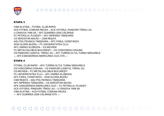

CSM SLATINA - FOTBAL CLUB RAPID ACS FOTBAL COMUNA RECEA - ACS VIITORUL PANDURII TÂRGU JIU U CRAIOVA 1948 SA - AFC DUNĂREA 2005 CĂLĂRASI FC PETROLUL PLOIESTI - AFC RIPENSIA TIMIȘOARA CS AEROSTAR BACĂU - CSM RESITA ASU POLITEHNICA TIMISOARA - AFC FARUL CONSTANTA SCM GLORIA BUZĂU – FC UNIVERSITATEA CLUJ AFC UNIREA SI OBOZIA - CS MIOVENI FC METALOGLOBUS BUCURESTI - CS CONCORDIA CHIAJNA CS PANDURII LIGNITUL TÂRGU JIU – AFC TURRIS-OLTUL TURNU MĂGURELE --- AFK CSIKSZEREDA MIERCUREA CIUC STĂ ---

### ΕΤΔΡΑ 4

FOTBAL CLUB RAPID - AFC TURRIS-OLTUL TURNU MĂGURFI F CS CONCORDIA CHIAJNA - CS PANDURII LIGNITUL TÂRGU JIU CS MIOVENI - FC METALOGLOBUS BUCURESTI FC UNIVERSITATEA CLUJ - AFC UNIREA SLOBOZIA AFC FARUL CONSTANTA - SCM GLORIA BUZĂU CSM REȘIȚA - ASU POLITEHNICA TIMIȘOARA AFC RIPENSIA TIMISOARA - CS AEROSTAR BACĂU AFK CSIKSZEREDA MIERCUREA CIUC - FC PETROLUL PLOIESTI ACS VIITORUL PANDURII TÂRGU JIU - U CRAIOVA 1948 SA CSM SLATINA - ACS FOTBAL COMUNA RECEA --- AFC DUNĂREA 2005 CĂLĂRAȘI STĂ ---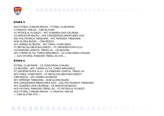

#### ETAPA 5

ACS FOTBAL COMUNA RECEA – FOTBAL CLUB RAPID U CRAIOVA 1948 SA – CSM SLATINA FC PETROLUL PLOIEȘTI – AFC DUNĂREA 2005 CĂLĂRAȘI CS AEROSTAR BACĂU – AFK CSIKSZEREDA MIERCUREA CIUC ASU POLITEHNICA TIMIȘOARA – AFC RIPENSIA TIMIȘOARA SCM GLORIA BUZĂU – CSM REȘIȚA AFC UNIREA SLOBOZIA – AFC FARUL CONSTANȚA FC METALOGLOBUS BUCUREȘTI – FC UNIVERSITATEA CLUJ CS PANDURII LIGNITUL TÂRGU JIU – CS MIOVENI AFC TURRIS-OLTUL TURNU MĂGURELE – CS CONCORDIA CHIAJNA --- ACS VIITORUL PANDURII TÂRGU JIU STĂ ---

### ETAPA 6

FOTBAL CLUB RAPID – CS CONCORDIA CHIAJNA CS MIOVENI – AFC TURRIS-OLTUL TURNU MĂGURELE FC UNIVERSITATEA CLUJ – CS PANDURII LIGNITUL TÂRGU JIU AFC FARUL CONSTANȚA – FC METALOGLOBUS BUCUREȘTI CSM REȘIȚA – AFC UNIREA SLOBOZIA AFC RIPENSIA TIMIȘOARA – SCM GLORIA BUZĂU AFK CSIKSZEREDA MIERCUREA CIUC – ASU POLITEHNICA TIMIȘOARA AFC DUNĂREA 2005 CĂLĂRAȘI – CS AEROSTAR BACĂU ACS VIITORUL PANDURII TÂRGU JIU – FC PETROLUL PLOIEȘTI ACS FOTBAL COMUNA RECEA – U CRAIOVA 1948 SA --- CSM SLATINA STĂ ---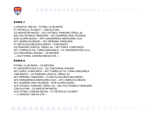

U CRAIOVA 1948 SA – FOTBAL CLUB RAPID FC PETROLUL PLOIEȘTI – CSM SLATINA CS AEROSTAR BACĂU – ACS VIITORUL PANDURII TÂRGU JIU ASU POLITEHNICA TIMIȘOARA – AFC DUNĂREA 2005 CĂLĂRAȘI SCM GLORIA BUZĂU – AFK CSIKSZEREDA MIERCUREA CIUC AFC UNIREA SLOBOZIA – AFC RIPENSIA TIMIȘOARA FC METALOGLOBUS BUCUREȘTI – CSM REȘIȚA CS PANDURII LIGNITUL TÂRGU JIU – AFC FARUL CONSTANȚA AFC TURRIS-OLTUL TURNU MĂGURELE – FC UNIVERSITATEA CLUJ CS CONCORDIA CHIAJNA – CS MIOVENI --- ACS FOTBAL COMUNA RECEA STĂ ---

### ETAPA 8

FOTBAL CLUB RAPID – CS MIOVENI FC UNIVERSITATEA CLUJ – CS CONCORDIA CHIAJNA AFC FARUL CONSTANȚA – AFC TURRIS-OLTUL TURNU MĂGURELE CSM REȘIȚA – CS PANDURII LIGNITUL TÂRGU JIU AFC RIPENSIA TIMIȘOARA – FC METALOGLOBUS BUCUREȘTI AFK CSIKSZEREDA MIERCUREA CIUC – AFC UNIREA SLOBOZIA AFC DUNĂREA 2005 CĂLĂRAȘI – SCM GLORIA BUZĂU ACS VIITORUL PANDURII TÂRGU JIU – ASU POLITEHNICA TIMIȘOARA CSM SLATINA – CS AEROSTAR BACĂU ACS FOTBAL COMUNA RECEA – FC PETROLUL PLOIEȘTI --- U CRAIOVA 1948 SA STĂ ---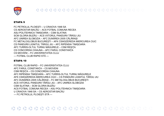

FC PETROLUL PLOIESTI - U CRAIOVA 1948 SA CS AEROSTAR BACĂU - ACS FOTBAL COMUNA RECEA ASU POLITEHNICA TIMISOARA - CSM SLATINA SCM GLORIA BUZĂU – ACS VIITORUL PANDURII TÂRGU JIU AFC UNIREA SLOBOZIA - AFC DUNĂREA 2005 CĂLĂRASI FC METALOGLOBUS BUCURESTI - AFK CSIKSZEREDA MIERCUREA CIUC CS PANDURII LIGNITUL TÂRGU JIU - AFC RIPENSIA TIMISOARA AFC TURRIS-OLTUL TURNU MĂGURELE - CSM REȘIȚA CS CONCORDIA CHIAJNA - AFC FARUL CONSTANTA **CS MIOVENI - FC UNIVERSITATEA CLUJ** --- FOTBAL CLUB RAPID STĂ ---

### ΕΤΑΡΑ 10

FOTBAL CLUB RAPID - FC UNIVERSITATEA CLUJ AFC FARUL CONSTANTA - CS MIOVENI CSM RESITA - CS CONCORDIA CHIAJNA AFC RIPENSIA TIMIȘOARA - AFC TURRIS-OLTUL TURNU MĂGURELE AFK CSIKSZEREDA MIERCUREA CIUC - CS PANDURII LIGNITUL TÂRGU JIU AFC DUNĂREA 2005 CĂLĂRAȘI - FC METALOGLOBUS BUCUREȘTI ACS VIITORUL PANDURII TÂRGU JIU - AFC UNIREA SLOBOZIA CSM SLATINA – SCM GLORIA BUZĂU ACS FOTBAL COMUNA RECEA - ASU POLITEHNICA TIMIȘOARA U CRAIOVA 1948 SA - CS AEROSTAR BACĂU --- FC PETROLUL PLOIESTI STĂ ---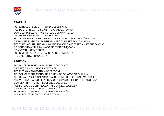

FC PETROLUL PLOIESTI - FOTBAL CLUB RAPID ASU POLITEHNICA TIMIȘOARA - U CRAIOVA 1948 SA SCM GLORIA BUZĂU - ACS FOTBAL COMUNA RECEA AFC UNIREA SLOBOZIA - CSM SLATINA FC METALOGLOBUS BUCURESTI - ACS VIITORUL PANDURII TÂRGU JIU CS PANDURII LIGNITUL TÂRGU JIU - AFC DUNĂREA 2005 CĂLĂRASI AFC TURRIS-OLTUL TURNU MĂGURELE – AFK CSIKSZEREDA MIERCUREA CIUC CS CONCORDIA CHIAJNA - AFC RIPENSIA TIMIȘOARA **CS MIOVENI - CSM RESITA** FC UNIVERSITATEA CLUJ - AFC FARUL CONSTANTA --- CS AEROSTAR BACĂU STĂ ---

### **ETAPA 12**

FOTBAL CLUB RAPID - AFC FARUL CONSTANTA CSM RESITA - FC UNIVERSITATEA CLUJ AFC RIPENSIA TIMISOARA - CS MIOVENI AFK CSIKSZEREDA MIERCUREA CIUC - CS CONCORDIA CHIAJNA AFC DUNĂREA 2005 CĂLĂRASI - AFC TURRIS-OLTUL TURNU MĂGURELE ACS VIITORUL PANDURII TÂRGU JIU - CS PANDURII LIGNITUL TÂRGU JIU CSM SLATINA - FC METALOGLOBUS BUCURESTI ACS FOTRAL COMUNA RECEA - AEC UNIREA SLOBOZIA U CRAIOVA 1948 SA - SCM GLORIA BUZĂU FC PETROLUL PLOIESTI - CS AEROSTAR BACĂU --- ASU POLITEHNICA TIMIȘOARA STĂ ---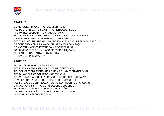

CS AEROSTAR BACĂU – FOTBAL CLUB RAPID ASU POLITEHNICA TIMIȘOARA – FC PETROLUL PLOIEȘTI AFC UNIREA SLOBOZIA – U CRAIOVA 1948 SA FC METALOGLOBUS BUCUREȘTI – ACS FOTBAL COMUNA RECEA CS PANDURII LIGNITUL TÂRGU JIU – CSM SLATINA AFC TURRIS-OLTUL TURNU MĂGURELE – ACS VIITORUL PANDURII TÂRGU JIU CS CONCORDIA CHIAJNA – AFC DUNĂREA 2005 CĂLĂRAȘI CS MIOVENI – AFK CSIKSZEREDA MIERCUREA CIUC FC UNIVERSITATEA CLUJ – AFC RIPENSIA TIMIȘOARA AFC FARUL CONSTANȚA – CSM REȘIȚA --- SCM GLORIA BUZĂU STĂ ---

### ETAPA 14

FOTBAL CLUB RAPID – CSM REȘIȚA AFC RIPENSIA TIMIȘOARA – AFC FARUL CONSTANȚA AFK CSIKSZEREDA MIERCUREA CIUC – FC UNIVERSITATEA CLUJ AFC DUNĂREA 2005 CĂLĂRAȘI – CS MIOVENI ACS VIITORUL PANDURII TÂRGU JIU – CS CONCORDIA CHIAJNA CSM SLATINA – AFC TURRIS-OLTUL TURNU MĂGURELE ACS FOTBAL COMUNA RECEA – CS PANDURII LIGNITUL TÂRGU JIU U CRAIOVA 1948 SA – FC METALOGLOBUS BUCUREȘTI FC PETROLUL PLOIEȘTI – SCM GLORIA BUZĂU CS AEROSTAR BACĂU – ASU POLITEHNICA TIMIȘOARA --- AFC UNIREA SLOBOZIA STĂ ---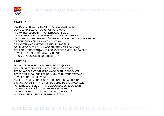

#### ETAPA 15

ASU POLITEHNICA TIMIȘOARA – FOTBAL CLUB RAPID SCM GLORIA BUZĂU – CS AEROSTAR BACĂU AFC UNIREA SLOBOZIA – FC PETROLUL PLOIEȘTI CS PANDURII LIGNITUL TÂRGU JIU – U CRAIOVA 1948 SA AFC TURRIS-OLTUL TURNU MĂGURELE – ACS FOTBAL COMUNA RECEA CS CONCORDIA CHIAJNA – CSM SLATINA CS MIOVENI – ACS VIITORUL PANDURII TÂRGU JIU FC UNIVERSITATEA CLUJ – AFC DUNĂREA 2005 CĂLĂRAȘI AFC FARUL CONSTANȚA – AFK CSIKSZEREDA MIERCUREA CIUC CSM REȘIȚA – AFC RIPENSIA TIMIȘOARA --- FC METALOGLOBUS BUCUREȘTI STĂ ---

#### ETAPA 16

FOTBAL CLUB RAPID – AFC RIPENSIA TIMIȘOARA AFK CSIKSZEREDA MIERCUREA CIUC – CSM REȘIȚA AFC DUNĂREA 2005 CĂLĂRAȘI – AFC FARUL CONSTANȚA ACS VIITORUL PANDURII TÂRGU JIU – FC UNIVERSITATEA CLUJ CSM SLATINA – CS MIOVENI ACS FOTBAL COMUNA RECEA – CS CONCORDIA CHIAJNA U CRAIOVA 1948 SA - AFC TURRIS-OLTUL TURNU MĂGURFI F FC PETROLUL PLOIEȘTI – FC METALOGLOBUS BUCUREȘTI CS AEROSTAR BACĂU – AFC UNIREA SLOBOZIA ASU POLITEHNICA TIMIȘOARA – SCM GLORIA BUZĂU --- CS PANDURII LIGNITUL TÂRGU JIU STĂ ---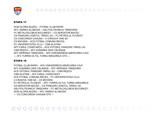

#### ETAPA 17

SCM GLORIA BUZĂU – FOTBAL CLUB RAPID AFC UNIREA SLOBOZIA – ASU POLITEHNICA TIMIȘOARA FC METALOGLOBUS BUCUREȘTI – CS AEROSTAR BACĂU CS PANDURII LIGNITUL TÂRGU JIU – FC PETROLUL PLOIEȘTI CS CONCORDIA CHIAJNA – U CRAIOVA 1948 SA CS MIOVENI – ACS FOTBAL COMUNA RECEA FC UNIVERSITATEA CLUJ – CSM SLATINA AFC FARUL CONSTANȚA – ACS VIITORUL PANDURII TÂRGU JIU CSM REȘIȚA – AFC DUNĂREA 2005 CĂLĂRAȘI AFC RIPENSIA TIMIȘOARA – AFK CSIKSZEREDA MIERCUREA CIUC --- AFC TURRIS-OLTUL TURNU MĂGURELE STĂ ---

#### ETAPA 18

FOTBAL CLUB RAPID – AFK CSIKSZEREDA MIERCUREA CIUC AFC DUNĂREA 2005 CĂLĂRAȘI – AFC RIPENSIA TIMIȘOARA ACS VIITORUL PANDURII TÂRGU JIU – CSM REȘIȚA CSM SLATINA – AFC FARUL CONSTANȚA ACS FOTBAL COMUNA RECEA – FC UNIVERSITATEA CLUJ U CRAIOVA 1948 SA – CS MIOVENI FC PETROLUL PLOIEȘTI – AFC TURRIS-OLTUL TURNU MĂGURELE CS AEROSTAR BACĂU – CS PANDURII LIGNITUL TÂRGU JIU ASU POLITEHNICA TIMIȘOARA – FC METALOGLOBUS BUCUREȘTI SCM GLORIA BUZĂU – AFC UNIREA SLOBOZIA --- CS CONCORDIA CHIAJNA STĂ ---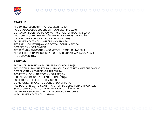

AFC UNIREA SLOBOZIA – FOTBAL CLUB RAPID FC METALOGLOBUS BUCUREȘTI – SCM GLORIA BUZĂU CS PANDURII LIGNITUL TÂRGU JIU – ASU POLITEHNICA TIMIȘOARA AFC TURRIS-OLTUL TURNU MĂGURELE – CS AEROSTAR BACĂU CS CONCORDIA CHIAJNA – FC PETROLUL PLOIEȘTI FC UNIVERSITATEA CLUJ – U CRAIOVA 1948 SA AFC FARUL CONSTANȚA – ACS FOTBAL COMUNA RECEA CSM REȘIȚA – CSM SLATINA AFC RIPENSIA TIMIȘOARA – ACS VIITORUL PANDURII TÂRGU JIU AFK CSIKSZEREDA MIERCUREA CIUC – AFC DUNĂREA 2005 CĂLĂRAȘI --- CS MIOVENI STĂ ---

### ETAPA 20

FOTBAL CLUB RAPID – AFC DUNĂREA 2005 CĂLĂRAȘI ACS VIITORUL PANDURII TÂRGU JIU – AFK CSIKSZEREDA MIERCUREA CIUC CSM SLATINA – AFC RIPENSIA TIMIȘOARA ACS FOTBAL COMUNA RECEA – CSM REȘIȚA U CRAIOVA 1948 SA – AFC FARUL CONSTANȚA FC PETROLUL PLOIEȘTI – CS MIOVENI CS AEROSTAR BACĂU – CS CONCORDIA CHIAJNA ASU POLITEHNICA TIMIȘOARA – AFC TURRIS-OLTUL TURNU MĂGURELE SCM GLORIA BUZĂU – CS PANDURII LIGNITUL TÂRGU JIU AFC UNIREA SLOBOZIA – FC METALOGLOBUS BUCUREȘTI --- FC UNIVERSITATEA CLUJ STĂ ---